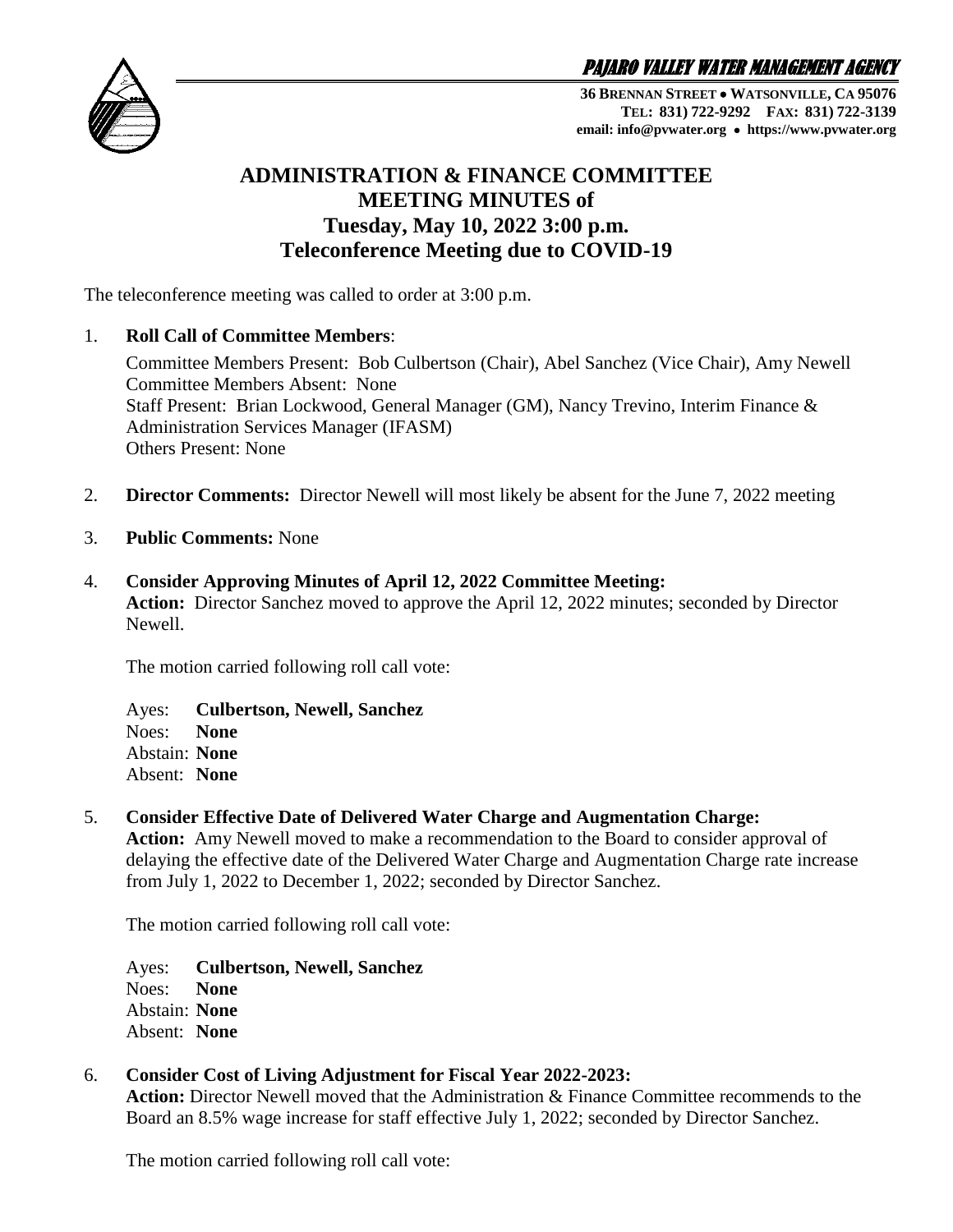PAJARO VALLEY WATER MANAGEMENT AGENCY



**36 BRENNAN STREET WATSONVILLE, CA 95076 TEL: 831) 722-9292 FAX: 831) 722-3139 email: info@pvwater.org https://www.pvwater.org**

# **ADMINISTRATION & FINANCE COMMITTEE MEETING MINUTES of Tuesday, May 10, 2022 3:00 p.m. Teleconference Meeting due to COVID-19**

The teleconference meeting was called to order at 3:00 p.m.

### 1. **Roll Call of Committee Members**:

Committee Members Present: Bob Culbertson (Chair), Abel Sanchez (Vice Chair), Amy Newell Committee Members Absent: None Staff Present: Brian Lockwood, General Manager (GM), Nancy Trevino, Interim Finance & Administration Services Manager (IFASM) Others Present: None

- 2. **Director Comments:** Director Newell will most likely be absent for the June 7, 2022 meeting
- 3. **Public Comments:** None
- 4. **Consider Approving Minutes of April 12, 2022 Committee Meeting: Action:** Director Sanchez moved to approve the April 12, 2022 minutes; seconded by Director Newell.

The motion carried following roll call vote:

Ayes: **Culbertson, Newell, Sanchez** Noes: **None** Abstain: **None** Absent: **None**

## 5. **Consider Effective Date of Delivered Water Charge and Augmentation Charge:**

**Action:** Amy Newell moved to make a recommendation to the Board to consider approval of delaying the effective date of the Delivered Water Charge and Augmentation Charge rate increase from July 1, 2022 to December 1, 2022; seconded by Director Sanchez.

The motion carried following roll call vote:

Ayes: **Culbertson, Newell, Sanchez** Noes: **None** Abstain: **None** Absent: **None**

# 6. **Consider Cost of Living Adjustment for Fiscal Year 2022-2023:**

Action: Director Newell moved that the Administration & Finance Committee recommends to the Board an 8.5% wage increase for staff effective July 1, 2022; seconded by Director Sanchez.

The motion carried following roll call vote: